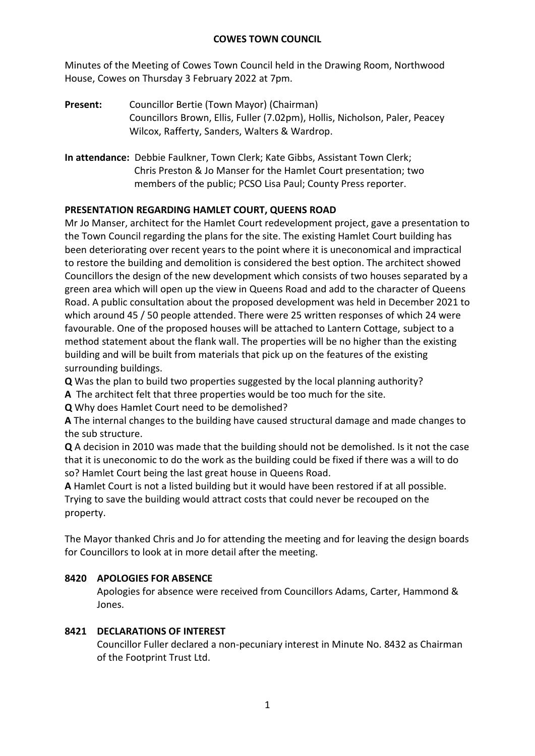Minutes of the Meeting of Cowes Town Council held in the Drawing Room, Northwood House, Cowes on Thursday 3 February 2022 at 7pm.

- **Present:** Councillor Bertie (Town Mayor) (Chairman) Councillors Brown, Ellis, Fuller (7.02pm), Hollis, Nicholson, Paler, Peacey Wilcox, Rafferty, Sanders, Walters & Wardrop.
- **In attendance:** Debbie Faulkner, Town Clerk; Kate Gibbs, Assistant Town Clerk; Chris Preston & Jo Manser for the Hamlet Court presentation; two members of the public; PCSO Lisa Paul; County Press reporter.

# **PRESENTATION REGARDING HAMLET COURT, QUEENS ROAD**

Mr Jo Manser, architect for the Hamlet Court redevelopment project, gave a presentation to the Town Council regarding the plans for the site. The existing Hamlet Court building has been deteriorating over recent years to the point where it is uneconomical and impractical to restore the building and demolition is considered the best option. The architect showed Councillors the design of the new development which consists of two houses separated by a green area which will open up the view in Queens Road and add to the character of Queens Road. A public consultation about the proposed development was held in December 2021 to which around 45 / 50 people attended. There were 25 written responses of which 24 were favourable. One of the proposed houses will be attached to Lantern Cottage, subject to a method statement about the flank wall. The properties will be no higher than the existing building and will be built from materials that pick up on the features of the existing surrounding buildings.

**Q** Was the plan to build two properties suggested by the local planning authority?

**A** The architect felt that three properties would be too much for the site.

**Q** Why does Hamlet Court need to be demolished?

**A** The internal changes to the building have caused structural damage and made changes to the sub structure.

**Q** A decision in 2010 was made that the building should not be demolished. Is it not the case that it is uneconomic to do the work as the building could be fixed if there was a will to do so? Hamlet Court being the last great house in Queens Road.

**A** Hamlet Court is not a listed building but it would have been restored if at all possible. Trying to save the building would attract costs that could never be recouped on the property.

The Mayor thanked Chris and Jo for attending the meeting and for leaving the design boards for Councillors to look at in more detail after the meeting.

# **8420 APOLOGIES FOR ABSENCE**

Apologies for absence were received from Councillors Adams, Carter, Hammond & Jones.

# **8421 DECLARATIONS OF INTEREST**

Councillor Fuller declared a non-pecuniary interest in Minute No. 8432 as Chairman of the Footprint Trust Ltd.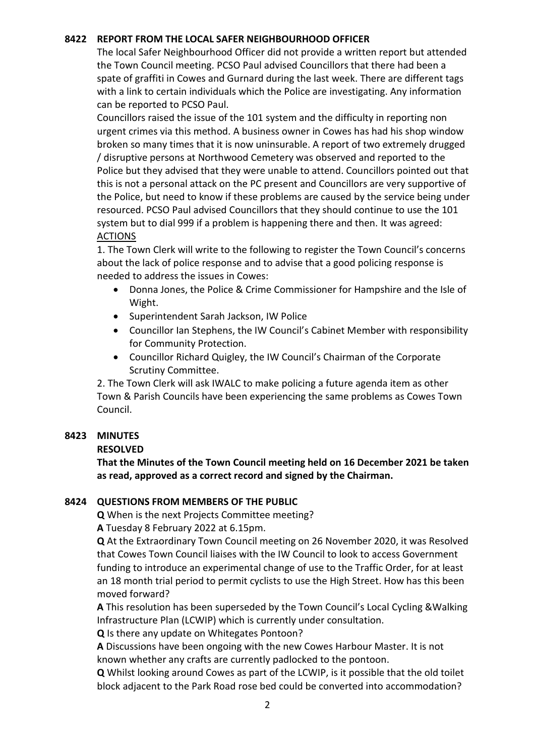## **8422 REPORT FROM THE LOCAL SAFER NEIGHBOURHOOD OFFICER**

The local Safer Neighbourhood Officer did not provide a written report but attended the Town Council meeting. PCSO Paul advised Councillors that there had been a spate of graffiti in Cowes and Gurnard during the last week. There are different tags with a link to certain individuals which the Police are investigating. Any information can be reported to PCSO Paul.

Councillors raised the issue of the 101 system and the difficulty in reporting non urgent crimes via this method. A business owner in Cowes has had his shop window broken so many times that it is now uninsurable. A report of two extremely drugged / disruptive persons at Northwood Cemetery was observed and reported to the Police but they advised that they were unable to attend. Councillors pointed out that this is not a personal attack on the PC present and Councillors are very supportive of the Police, but need to know if these problems are caused by the service being under resourced. PCSO Paul advised Councillors that they should continue to use the 101 system but to dial 999 if a problem is happening there and then. It was agreed: ACTIONS

1. The Town Clerk will write to the following to register the Town Council's concerns about the lack of police response and to advise that a good policing response is needed to address the issues in Cowes:

- Donna Jones, the Police & Crime Commissioner for Hampshire and the Isle of Wight.
- Superintendent Sarah Jackson, IW Police
- Councillor Ian Stephens, the IW Council's Cabinet Member with responsibility for Community Protection.
- Councillor Richard Quigley, the IW Council's Chairman of the Corporate Scrutiny Committee.

2. The Town Clerk will ask IWALC to make policing a future agenda item as other Town & Parish Councils have been experiencing the same problems as Cowes Town Council.

### **8423 MINUTES**

# **RESOLVED**

**That the Minutes of the Town Council meeting held on 16 December 2021 be taken as read, approved as a correct record and signed by the Chairman.**

# **8424 QUESTIONS FROM MEMBERS OF THE PUBLIC**

**Q** When is the next Projects Committee meeting?

**A** Tuesday 8 February 2022 at 6.15pm.

**Q** At the Extraordinary Town Council meeting on 26 November 2020, it was Resolved that Cowes Town Council liaises with the IW Council to look to access Government funding to introduce an experimental change of use to the Traffic Order, for at least an 18 month trial period to permit cyclists to use the High Street. How has this been moved forward?

**A** This resolution has been superseded by the Town Council's Local Cycling &Walking Infrastructure Plan (LCWIP) which is currently under consultation.

**Q** Is there any update on Whitegates Pontoon?

**A** Discussions have been ongoing with the new Cowes Harbour Master. It is not known whether any crafts are currently padlocked to the pontoon.

**Q** Whilst looking around Cowes as part of the LCWIP, is it possible that the old toilet block adjacent to the Park Road rose bed could be converted into accommodation?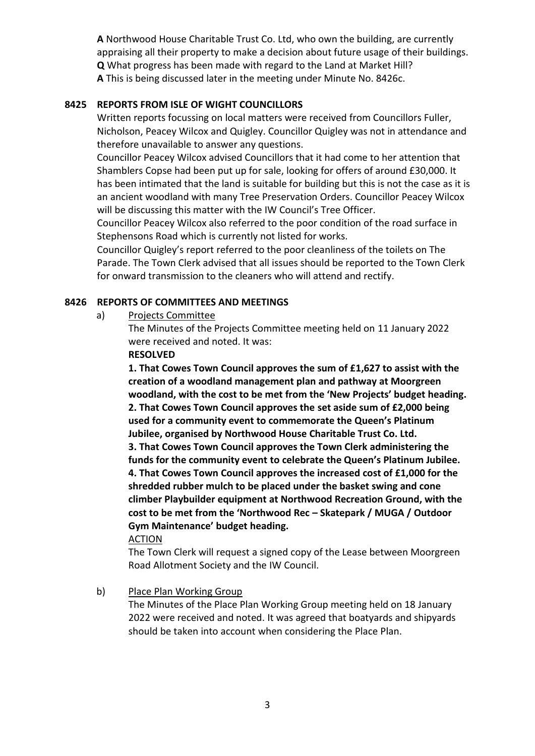**A** Northwood House Charitable Trust Co. Ltd, who own the building, are currently appraising all their property to make a decision about future usage of their buildings. **Q** What progress has been made with regard to the Land at Market Hill? **A** This is being discussed later in the meeting under Minute No. 8426c.

# **8425 REPORTS FROM ISLE OF WIGHT COUNCILLORS**

Written reports focussing on local matters were received from Councillors Fuller, Nicholson, Peacey Wilcox and Quigley. Councillor Quigley was not in attendance and therefore unavailable to answer any questions.

Councillor Peacey Wilcox advised Councillors that it had come to her attention that Shamblers Copse had been put up for sale, looking for offers of around £30,000. It has been intimated that the land is suitable for building but this is not the case as it is an ancient woodland with many Tree Preservation Orders. Councillor Peacey Wilcox will be discussing this matter with the IW Council's Tree Officer.

Councillor Peacey Wilcox also referred to the poor condition of the road surface in Stephensons Road which is currently not listed for works.

Councillor Quigley's report referred to the poor cleanliness of the toilets on The Parade. The Town Clerk advised that all issues should be reported to the Town Clerk for onward transmission to the cleaners who will attend and rectify.

## **8426 REPORTS OF COMMITTEES AND MEETINGS**

a) Projects Committee

The Minutes of the Projects Committee meeting held on 11 January 2022 were received and noted. It was:

### **RESOLVED**

**1. That Cowes Town Council approves the sum of £1,627 to assist with the creation of a woodland management plan and pathway at Moorgreen woodland, with the cost to be met from the 'New Projects' budget heading. 2. That Cowes Town Council approves the set aside sum of £2,000 being used for a community event to commemorate the Queen's Platinum Jubilee, organised by Northwood House Charitable Trust Co. Ltd.**

**3. That Cowes Town Council approves the Town Clerk administering the funds for the community event to celebrate the Queen's Platinum Jubilee. 4. That Cowes Town Council approves the increased cost of £1,000 for the shredded rubber mulch to be placed under the basket swing and cone climber Playbuilder equipment at Northwood Recreation Ground, with the cost to be met from the 'Northwood Rec – Skatepark / MUGA / Outdoor Gym Maintenance' budget heading.**

### ACTION

The Town Clerk will request a signed copy of the Lease between Moorgreen Road Allotment Society and the IW Council.

# b) Place Plan Working Group

The Minutes of the Place Plan Working Group meeting held on 18 January 2022 were received and noted. It was agreed that boatyards and shipyards should be taken into account when considering the Place Plan.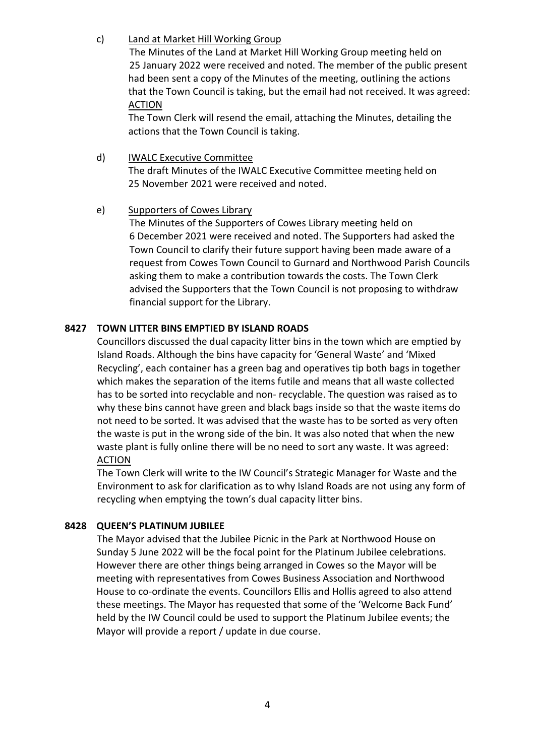# c) Land at Market Hill Working Group

The Minutes of the Land at Market Hill Working Group meeting held on 25 January 2022 were received and noted. The member of the public present had been sent a copy of the Minutes of the meeting, outlining the actions that the Town Council is taking, but the email had not received. It was agreed: ACTION

The Town Clerk will resend the email, attaching the Minutes, detailing the actions that the Town Council is taking.

d) IWALC Executive Committee The draft Minutes of the IWALC Executive Committee meeting held on 25 November 2021 were received and noted.

# e) Supporters of Cowes Library

The Minutes of the Supporters of Cowes Library meeting held on 6 December 2021 were received and noted. The Supporters had asked the Town Council to clarify their future support having been made aware of a request from Cowes Town Council to Gurnard and Northwood Parish Councils asking them to make a contribution towards the costs. The Town Clerk advised the Supporters that the Town Council is not proposing to withdraw financial support for the Library.

# **8427 TOWN LITTER BINS EMPTIED BY ISLAND ROADS**

Councillors discussed the dual capacity litter bins in the town which are emptied by Island Roads. Although the bins have capacity for 'General Waste' and 'Mixed Recycling', each container has a green bag and operatives tip both bags in together which makes the separation of the items futile and means that all waste collected has to be sorted into recyclable and non- recyclable. The question was raised as to why these bins cannot have green and black bags inside so that the waste items do not need to be sorted. It was advised that the waste has to be sorted as very often the waste is put in the wrong side of the bin. It was also noted that when the new waste plant is fully online there will be no need to sort any waste. It was agreed: ACTION

The Town Clerk will write to the IW Council's Strategic Manager for Waste and the Environment to ask for clarification as to why Island Roads are not using any form of recycling when emptying the town's dual capacity litter bins.

# **8428 QUEEN'S PLATINUM JUBILEE**

The Mayor advised that the Jubilee Picnic in the Park at Northwood House on Sunday 5 June 2022 will be the focal point for the Platinum Jubilee celebrations. However there are other things being arranged in Cowes so the Mayor will be meeting with representatives from Cowes Business Association and Northwood House to co-ordinate the events. Councillors Ellis and Hollis agreed to also attend these meetings. The Mayor has requested that some of the 'Welcome Back Fund' held by the IW Council could be used to support the Platinum Jubilee events; the Mayor will provide a report / update in due course.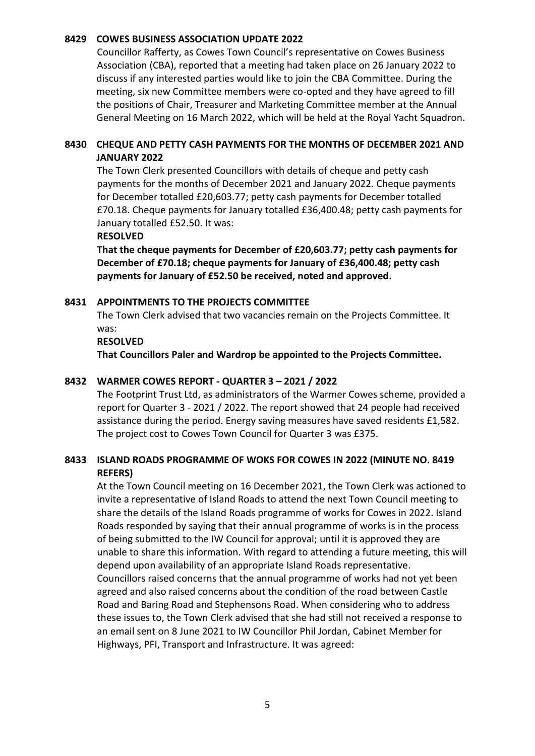#### **8429 COWES BUSINESS ASSOCIATION UPDATE 2022**

Councillor Rafferty, as Cowes Town Council's representative on Cowes Business Association (CBA), reported that a meeting had taken place on 26 January 2022 to discuss if any interested parties would like to join the CBA Committee. During the meeting, six new Committee members were co-opted and they have agreed to fill the positions of Chair, Treasurer and Marketing Committee member at the Annual General Meeting on 16 March 2022, which will be held at the Royal Yacht Squadron.

## **8430 CHEQUE AND PETTY CASH PAYMENTS FOR THE MONTHS OF DECEMBER 2021 AND JANUARY 2022**

The Town Clerk presented Councillors with details of cheque and petty cash payments for the months of December 2021 and January 2022. Cheque payments for December totalled £20,603.77; petty cash payments for December totalled £70.18. Cheque payments for January totalled £36,400.48; petty cash payments for January totalled £52.50. It was:

#### **RESOLVED**

**That the cheque payments for December of £20,603.77; petty cash payments for December of £70.18; cheque payments for January of £36,400.48; petty cash payments for January of £52.50 be received, noted and approved.**

### **8431 APPOINTMENTS TO THE PROJECTS COMMITTEE**

The Town Clerk advised that two vacancies remain on the Projects Committee. It was:

#### **RESOLVED**

**That Councillors Paler and Wardrop be appointed to the Projects Committee.**

### **8432 WARMER COWES REPORT - QUARTER 3 – 2021 / 2022**

The Footprint Trust Ltd, as administrators of the Warmer Cowes scheme, provided a report for Quarter 3 - 2021 / 2022. The report showed that 24 people had received assistance during the period. Energy saving measures have saved residents £1,582. The project cost to Cowes Town Council for Quarter 3 was £375.

## **8433 ISLAND ROADS PROGRAMME OF WOKS FOR COWES IN 2022 (MINUTE NO. 8419 REFERS)**

At the Town Council meeting on 16 December 2021, the Town Clerk was actioned to invite a representative of Island Roads to attend the next Town Council meeting to share the details of the Island Roads programme of works for Cowes in 2022. Island Roads responded by saying that their annual programme of works is in the process of being submitted to the IW Council for approval; until it is approved they are unable to share this information. With regard to attending a future meeting, this will depend upon availability of an appropriate Island Roads representative. Councillors raised concerns that the annual programme of works had not yet been agreed and also raised concerns about the condition of the road between Castle Road and Baring Road and Stephensons Road. When considering who to address these issues to, the Town Clerk advised that she had still not received a response to an email sent on 8 June 2021 to IW Councillor Phil Jordan, Cabinet Member for Highways, PFI, Transport and Infrastructure. It was agreed: